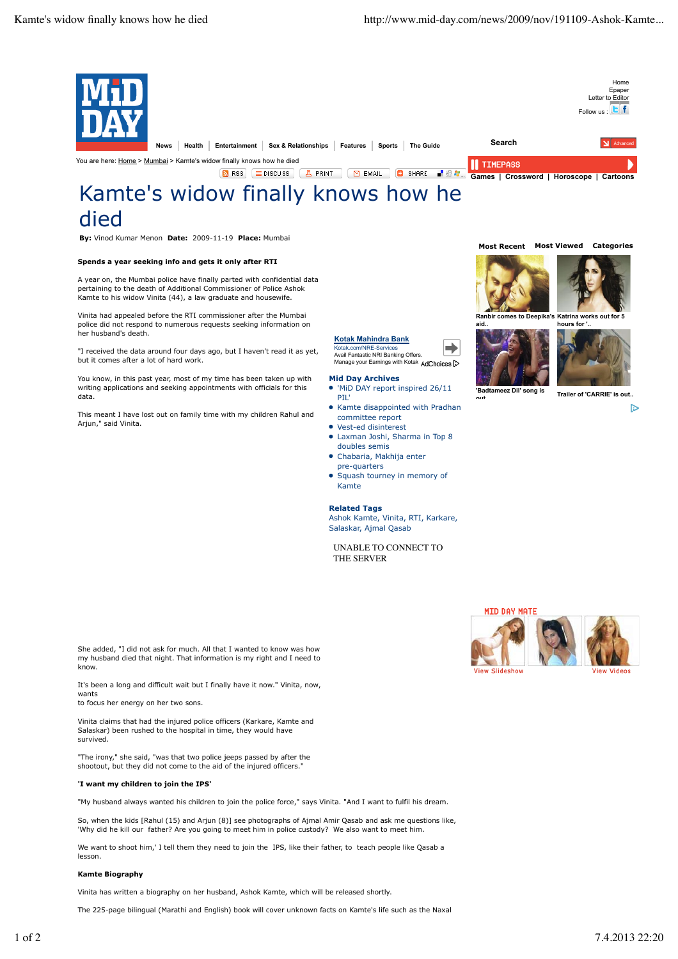

THE SERVER

She added, "I did not ask for much. All that I wanted to know was how my husband died that night. That information is my right and I need to know.

It's been a long and difficult wait but I finally have it now." Vinita, now, wants

to focus her energy on her two sons.

Vinita claims that had the injured police officers (Karkare, Kamte and Salaskar) been rushed to the hospital in time, they would have survived.

"The irony," she said, "was that two police jeeps passed by after the shootout, but they did not come to the aid of the injured officers.

## **'I want my children to join the IPS'**

"My husband always wanted his children to join the police force," says Vinita. "And I want to fulfil his dream.

So, when the kids [Rahul (15) and Arjun (8)] see photographs of Ajmal Amir Qasab and ask me questions like, 'Why did he kill our father? Are you going to meet him in police custody? We also want to meet him.

We want to shoot him,' I tell them they need to join the IPS, like their father, to teach people like Qasab a

## **Kamte Biography**

lesson.

Vinita has written a biography on her husband, Ashok Kamte, which will be released shortly.

The 225-page bilingual (Marathi and English) book will cover unknown facts on Kamte's life such as the Naxal